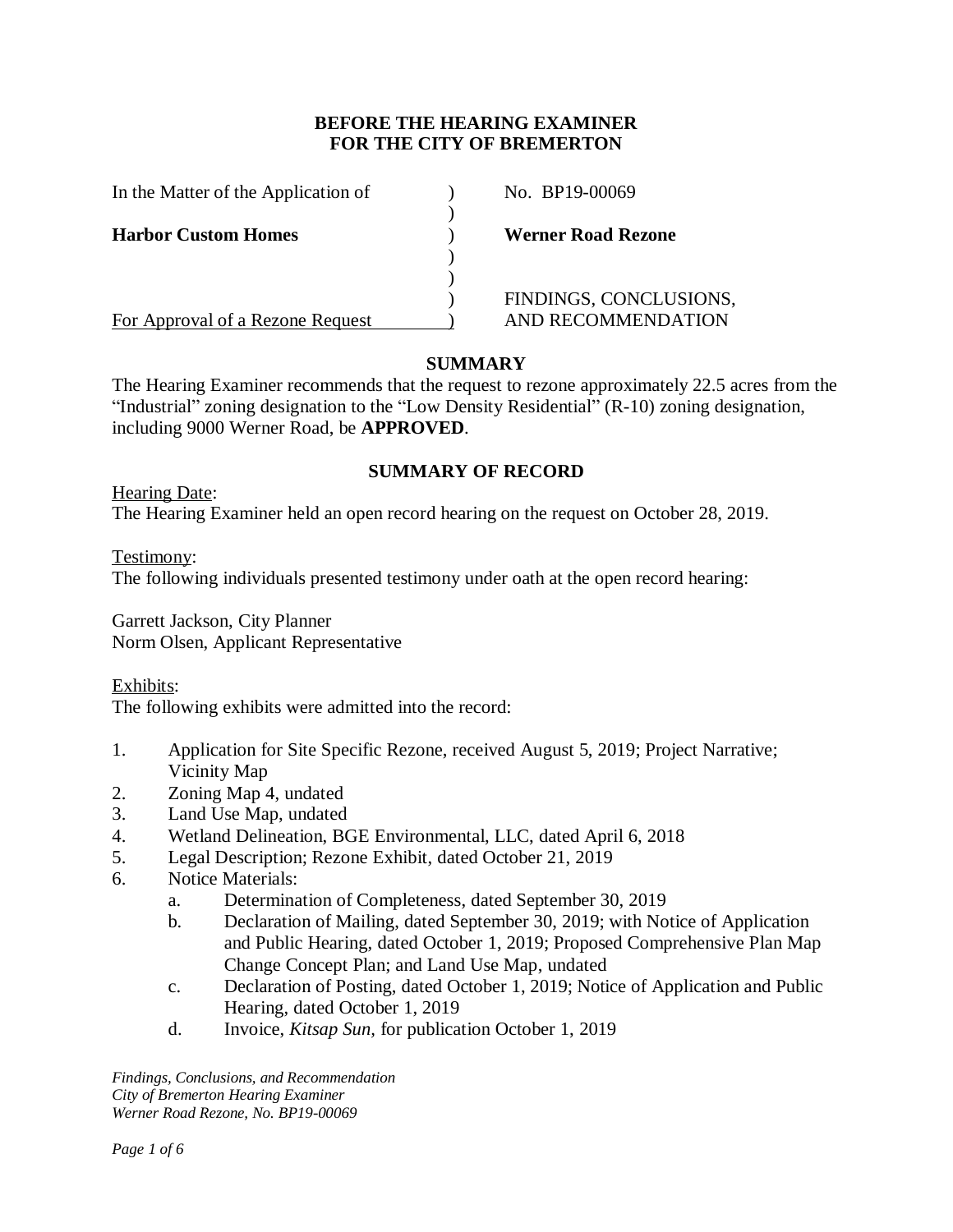# **BEFORE THE HEARING EXAMINER FOR THE CITY OF BREMERTON**

| In the Matter of the Application of | No. BP19-00069            |
|-------------------------------------|---------------------------|
| <b>Harbor Custom Homes</b>          | <b>Werner Road Rezone</b> |
|                                     |                           |
|                                     | FINDINGS, CONCLUSIONS,    |
| For Approval of a Rezone Request    | AND RECOMMENDATION        |

# **SUMMARY**

The Hearing Examiner recommends that the request to rezone approximately 22.5 acres from the "Industrial" zoning designation to the "Low Density Residential" (R-10) zoning designation, including 9000 Werner Road, be **APPROVED**.

## **SUMMARY OF RECORD**

Hearing Date: The Hearing Examiner held an open record hearing on the request on October 28, 2019.

Testimony:

The following individuals presented testimony under oath at the open record hearing:

Garrett Jackson, City Planner Norm Olsen, Applicant Representative

Exhibits:

The following exhibits were admitted into the record:

- 1. Application for Site Specific Rezone, received August 5, 2019; Project Narrative; Vicinity Map
- 2. Zoning Map 4, undated
- 3. Land Use Map, undated
- 4. Wetland Delineation, BGE Environmental, LLC, dated April 6, 2018
- 5. Legal Description; Rezone Exhibit, dated October 21, 2019
- 6. Notice Materials:
	- a. Determination of Completeness, dated September 30, 2019
	- b. Declaration of Mailing, dated September 30, 2019; with Notice of Application and Public Hearing, dated October 1, 2019; Proposed Comprehensive Plan Map Change Concept Plan; and Land Use Map, undated
	- c. Declaration of Posting, dated October 1, 2019; Notice of Application and Public Hearing, dated October 1, 2019
	- d. Invoice, *Kitsap Sun,* for publication October 1, 2019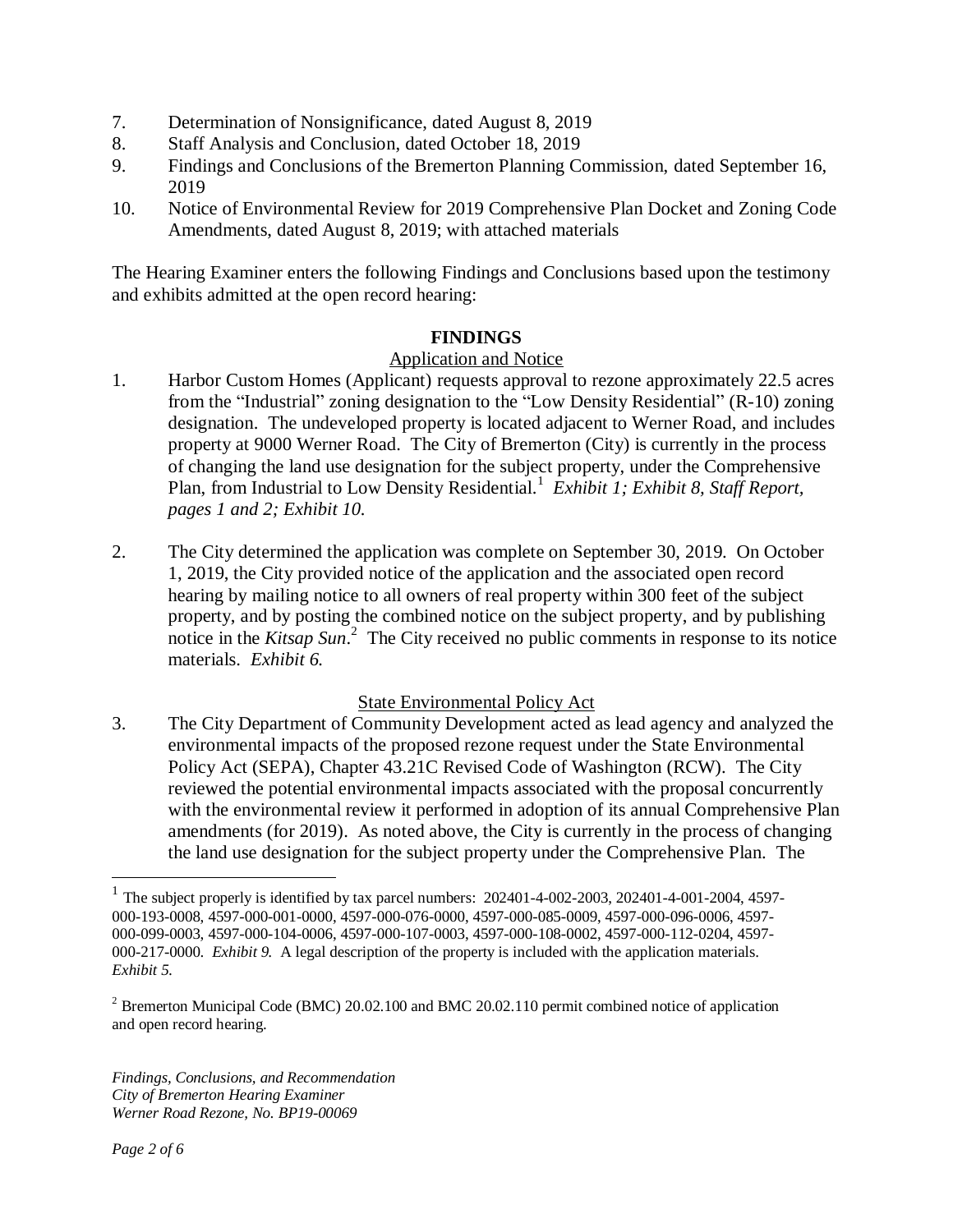- 7. Determination of Nonsignificance, dated August 8, 2019
- 8. Staff Analysis and Conclusion, dated October 18, 2019
- 9. Findings and Conclusions of the Bremerton Planning Commission, dated September 16, 2019
- 10. Notice of Environmental Review for 2019 Comprehensive Plan Docket and Zoning Code Amendments, dated August 8, 2019; with attached materials

The Hearing Examiner enters the following Findings and Conclusions based upon the testimony and exhibits admitted at the open record hearing:

## **FINDINGS**

## Application and Notice

- 1. Harbor Custom Homes (Applicant) requests approval to rezone approximately 22.5 acres from the "Industrial" zoning designation to the "Low Density Residential" (R-10) zoning designation. The undeveloped property is located adjacent to Werner Road, and includes property at 9000 Werner Road. The City of Bremerton (City) is currently in the process of changing the land use designation for the subject property, under the Comprehensive Plan, from Industrial to Low Density Residential.<sup>1</sup> Exhibit 1; Exhibit 8, Staff Report, *pages 1 and 2; Exhibit 10.*
- 2. The City determined the application was complete on September 30, 2019. On October 1, 2019, the City provided notice of the application and the associated open record hearing by mailing notice to all owners of real property within 300 feet of the subject property, and by posting the combined notice on the subject property, and by publishing notice in the *Kitsap Sun*.<sup>2</sup> The City received no public comments in response to its notice materials. *Exhibit 6.*

### State Environmental Policy Act

3. The City Department of Community Development acted as lead agency and analyzed the environmental impacts of the proposed rezone request under the State Environmental Policy Act (SEPA), Chapter 43.21C Revised Code of Washington (RCW). The City reviewed the potential environmental impacts associated with the proposal concurrently with the environmental review it performed in adoption of its annual Comprehensive Plan amendments (for 2019). As noted above, the City is currently in the process of changing the land use designation for the subject property under the Comprehensive Plan. The

 1 The subject properly is identified by tax parcel numbers: 202401-4-002-2003, 202401-4-001-2004, 4597- 000-193-0008, 4597-000-001-0000, 4597-000-076-0000, 4597-000-085-0009, 4597-000-096-0006, 4597- 000-099-0003, 4597-000-104-0006, 4597-000-107-0003, 4597-000-108-0002, 4597-000-112-0204, 4597- 000-217-0000. *Exhibit 9.* A legal description of the property is included with the application materials. *Exhibit 5.*

<sup>&</sup>lt;sup>2</sup> Bremerton Municipal Code (BMC) 20.02.100 and BMC 20.02.110 permit combined notice of application and open record hearing.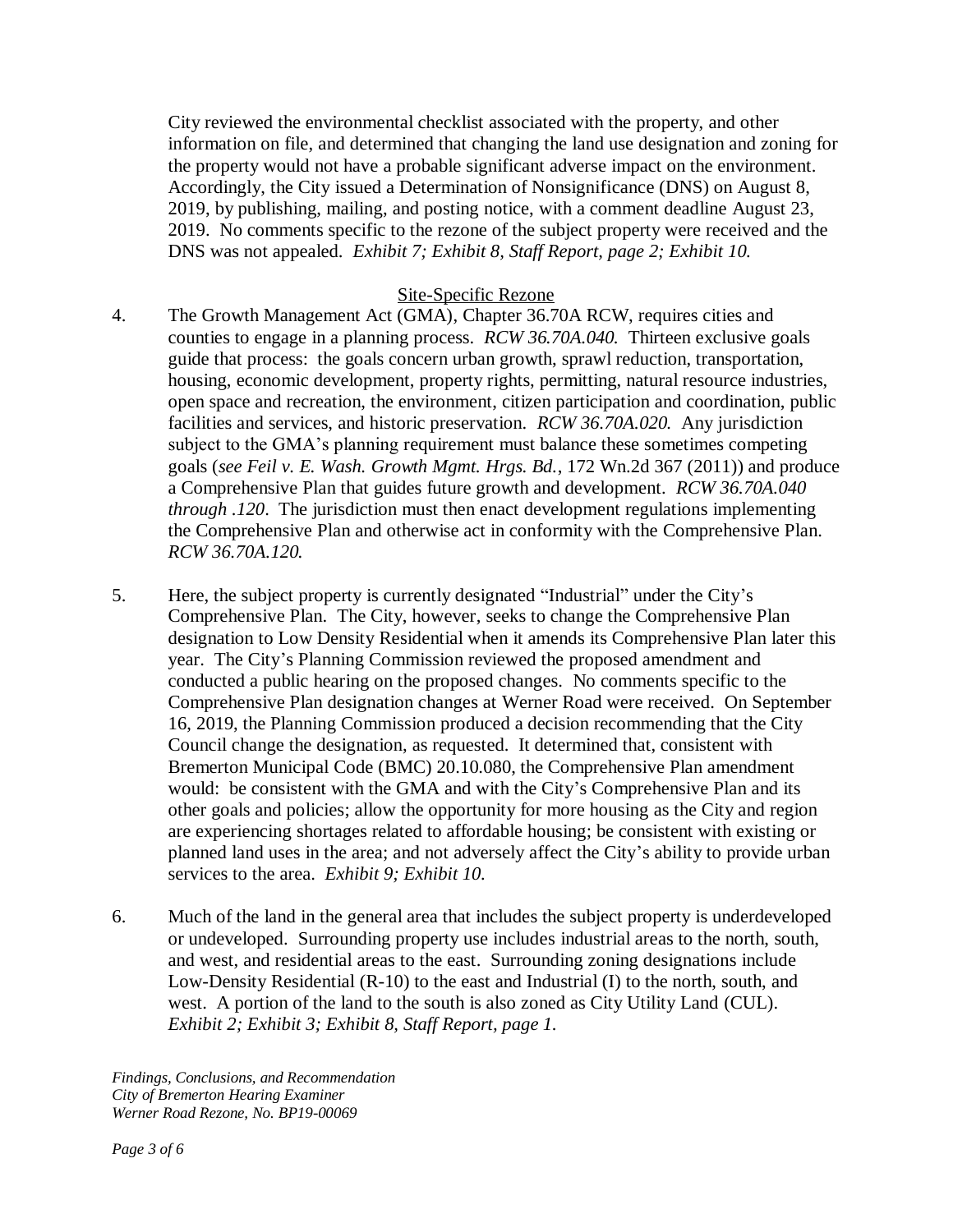City reviewed the environmental checklist associated with the property, and other information on file, and determined that changing the land use designation and zoning for the property would not have a probable significant adverse impact on the environment. Accordingly, the City issued a Determination of Nonsignificance (DNS) on August 8, 2019, by publishing, mailing, and posting notice, with a comment deadline August 23, 2019. No comments specific to the rezone of the subject property were received and the DNS was not appealed. *Exhibit 7; Exhibit 8, Staff Report, page 2; Exhibit 10.* 

## Site-Specific Rezone

- 4. The Growth Management Act (GMA), Chapter 36.70A RCW, requires cities and counties to engage in a planning process. *RCW 36.70A.040.* Thirteen exclusive goals guide that process: the goals concern urban growth, sprawl reduction, transportation, housing, economic development, property rights, permitting, natural resource industries, open space and recreation, the environment, citizen participation and coordination, public facilities and services, and historic preservation. *RCW 36.70A.020.* Any jurisdiction subject to the GMA's planning requirement must balance these sometimes competing goals (*see Feil v. E. Wash. Growth Mgmt. Hrgs. Bd.*, 172 Wn.2d 367 (2011)) and produce a Comprehensive Plan that guides future growth and development. *RCW 36.70A.040 through .120*. The jurisdiction must then enact development regulations implementing the Comprehensive Plan and otherwise act in conformity with the Comprehensive Plan. *RCW 36.70A.120.*
- 5. Here, the subject property is currently designated "Industrial" under the City's Comprehensive Plan. The City, however, seeks to change the Comprehensive Plan designation to Low Density Residential when it amends its Comprehensive Plan later this year. The City's Planning Commission reviewed the proposed amendment and conducted a public hearing on the proposed changes. No comments specific to the Comprehensive Plan designation changes at Werner Road were received. On September 16, 2019, the Planning Commission produced a decision recommending that the City Council change the designation, as requested. It determined that, consistent with Bremerton Municipal Code (BMC) 20.10.080, the Comprehensive Plan amendment would: be consistent with the GMA and with the City's Comprehensive Plan and its other goals and policies; allow the opportunity for more housing as the City and region are experiencing shortages related to affordable housing; be consistent with existing or planned land uses in the area; and not adversely affect the City's ability to provide urban services to the area. *Exhibit 9; Exhibit 10.*
- 6. Much of the land in the general area that includes the subject property is underdeveloped or undeveloped. Surrounding property use includes industrial areas to the north, south, and west, and residential areas to the east. Surrounding zoning designations include Low-Density Residential (R-10) to the east and Industrial (I) to the north, south, and west. A portion of the land to the south is also zoned as City Utility Land (CUL). *Exhibit 2; Exhibit 3; Exhibit 8, Staff Report, page 1.*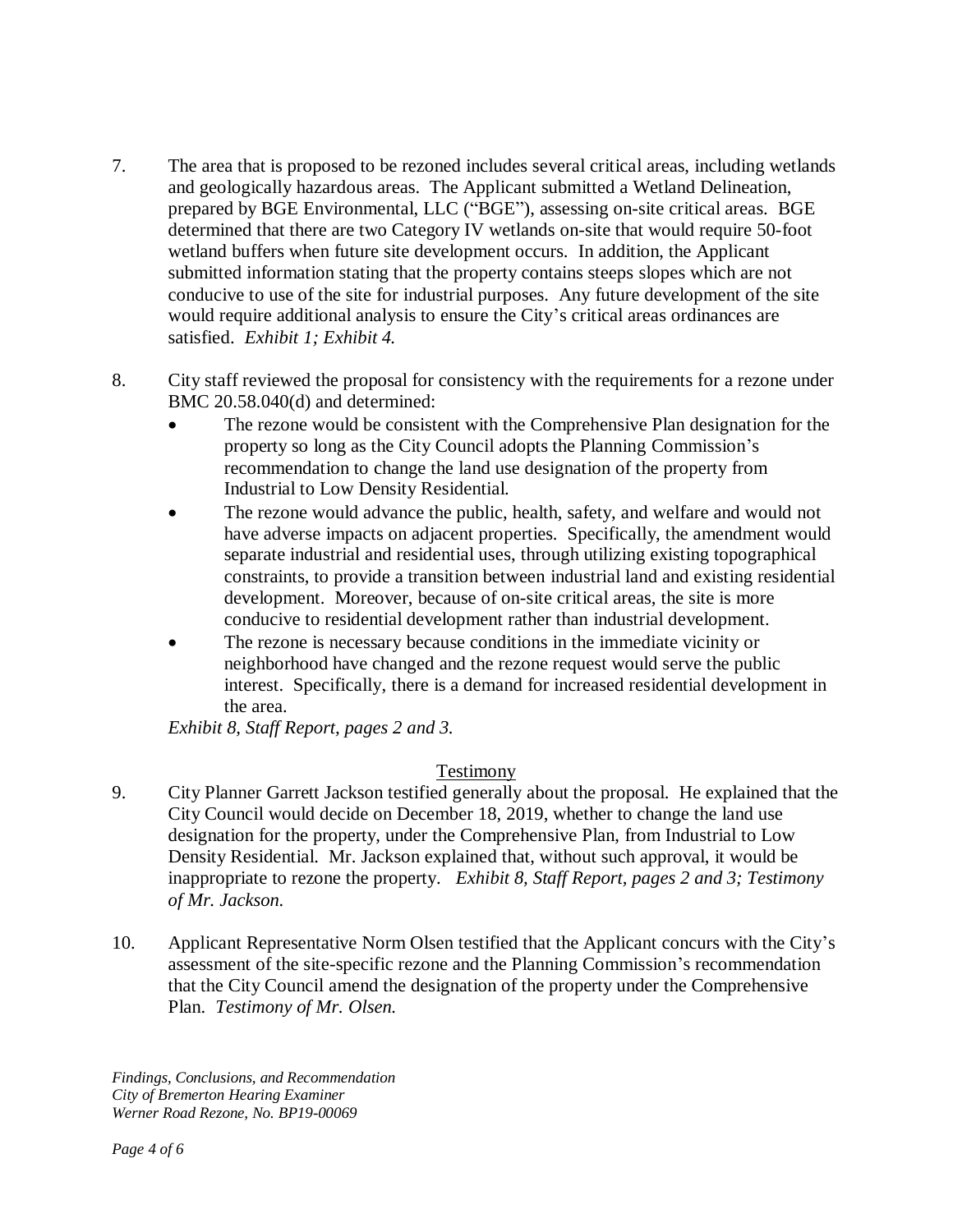- 7. The area that is proposed to be rezoned includes several critical areas, including wetlands and geologically hazardous areas. The Applicant submitted a Wetland Delineation, prepared by BGE Environmental, LLC ("BGE"), assessing on-site critical areas. BGE determined that there are two Category IV wetlands on-site that would require 50-foot wetland buffers when future site development occurs. In addition, the Applicant submitted information stating that the property contains steeps slopes which are not conducive to use of the site for industrial purposes. Any future development of the site would require additional analysis to ensure the City's critical areas ordinances are satisfied. *Exhibit 1; Exhibit 4.*
- 8. City staff reviewed the proposal for consistency with the requirements for a rezone under BMC 20.58.040(d) and determined:
	- The rezone would be consistent with the Comprehensive Plan designation for the property so long as the City Council adopts the Planning Commission's recommendation to change the land use designation of the property from Industrial to Low Density Residential.
	- The rezone would advance the public, health, safety, and welfare and would not have adverse impacts on adjacent properties. Specifically, the amendment would separate industrial and residential uses, through utilizing existing topographical constraints, to provide a transition between industrial land and existing residential development. Moreover, because of on-site critical areas, the site is more conducive to residential development rather than industrial development.
	- The rezone is necessary because conditions in the immediate vicinity or neighborhood have changed and the rezone request would serve the public interest. Specifically, there is a demand for increased residential development in the area.

*Exhibit 8, Staff Report, pages 2 and 3.* 

# Testimony

- 9. City Planner Garrett Jackson testified generally about the proposal. He explained that the City Council would decide on December 18, 2019, whether to change the land use designation for the property, under the Comprehensive Plan, from Industrial to Low Density Residential. Mr. Jackson explained that, without such approval, it would be inappropriate to rezone the property. *Exhibit 8, Staff Report, pages 2 and 3; Testimony of Mr. Jackson.*
- 10. Applicant Representative Norm Olsen testified that the Applicant concurs with the City's assessment of the site-specific rezone and the Planning Commission's recommendation that the City Council amend the designation of the property under the Comprehensive Plan. *Testimony of Mr. Olsen.*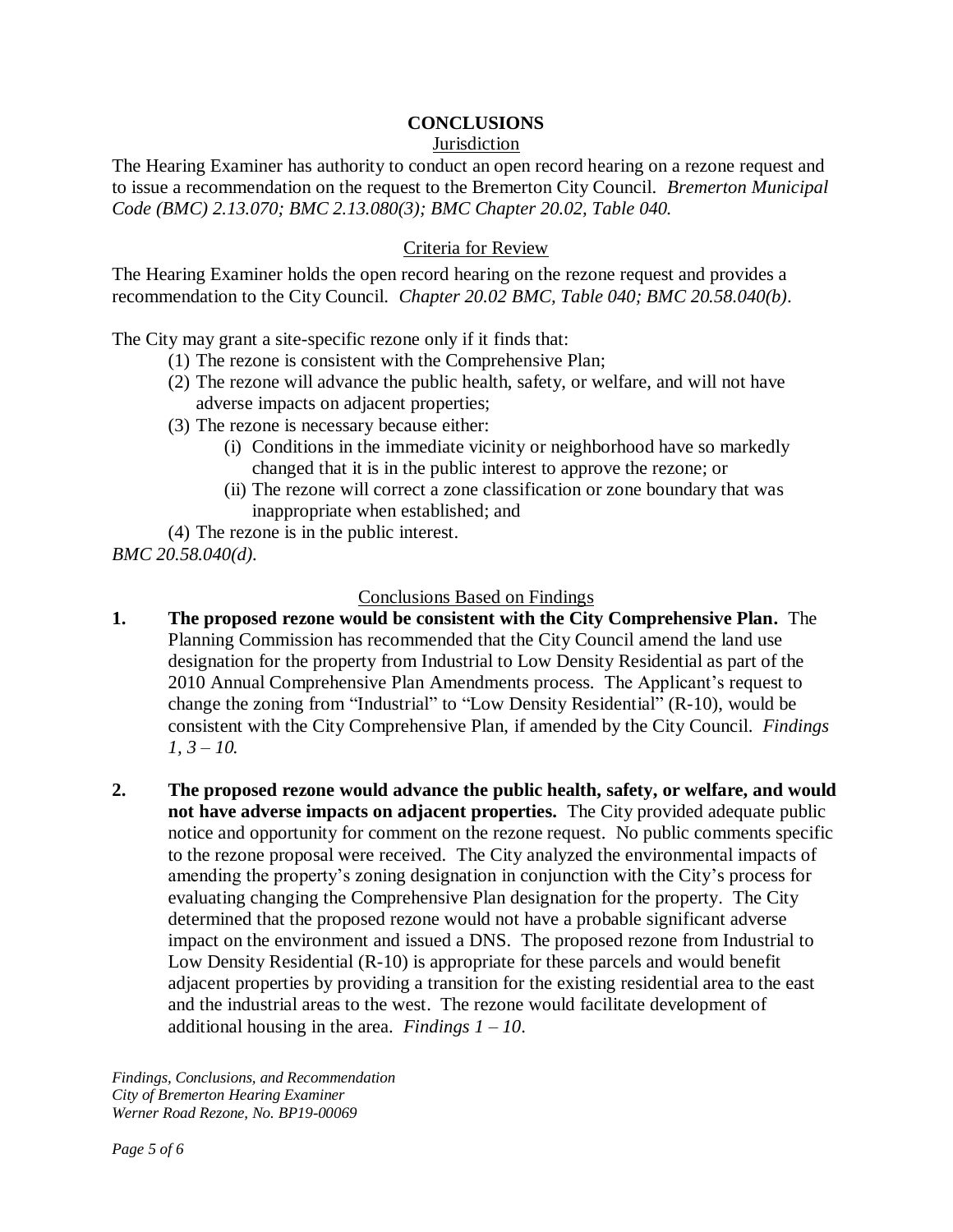## **CONCLUSIONS**

#### Jurisdiction

The Hearing Examiner has authority to conduct an open record hearing on a rezone request and to issue a recommendation on the request to the Bremerton City Council. *Bremerton Municipal Code (BMC) 2.13.070; BMC 2.13.080(3); BMC Chapter 20.02, Table 040.* 

### Criteria for Review

The Hearing Examiner holds the open record hearing on the rezone request and provides a recommendation to the City Council. *Chapter 20.02 BMC, Table 040; BMC 20.58.040(b)*.

The City may grant a site-specific rezone only if it finds that:

- (1) The rezone is consistent with the Comprehensive Plan;
- (2) The rezone will advance the public health, safety, or welfare, and will not have adverse impacts on adjacent properties;
- (3) The rezone is necessary because either:
	- (i) Conditions in the immediate vicinity or neighborhood have so markedly changed that it is in the public interest to approve the rezone; or
	- (ii) The rezone will correct a zone classification or zone boundary that was inappropriate when established; and

(4) The rezone is in the public interest. *BMC 20.58.040(d).* 

#### Conclusions Based on Findings

- **1. The proposed rezone would be consistent with the City Comprehensive Plan.** The Planning Commission has recommended that the City Council amend the land use designation for the property from Industrial to Low Density Residential as part of the 2010 Annual Comprehensive Plan Amendments process. The Applicant's request to change the zoning from "Industrial" to "Low Density Residential" (R-10), would be consistent with the City Comprehensive Plan, if amended by the City Council. *Findings 1, 3 – 10.*
- **2. The proposed rezone would advance the public health, safety, or welfare, and would not have adverse impacts on adjacent properties.** The City provided adequate public notice and opportunity for comment on the rezone request. No public comments specific to the rezone proposal were received.The City analyzed the environmental impacts of amending the property's zoning designation in conjunction with the City's process for evaluating changing the Comprehensive Plan designation for the property. The City determined that the proposed rezone would not have a probable significant adverse impact on the environment and issued a DNS. The proposed rezone from Industrial to Low Density Residential (R-10) is appropriate for these parcels and would benefit adjacent properties by providing a transition for the existing residential area to the east and the industrial areas to the west. The rezone would facilitate development of additional housing in the area. *Findings*  $1 - 10$ .